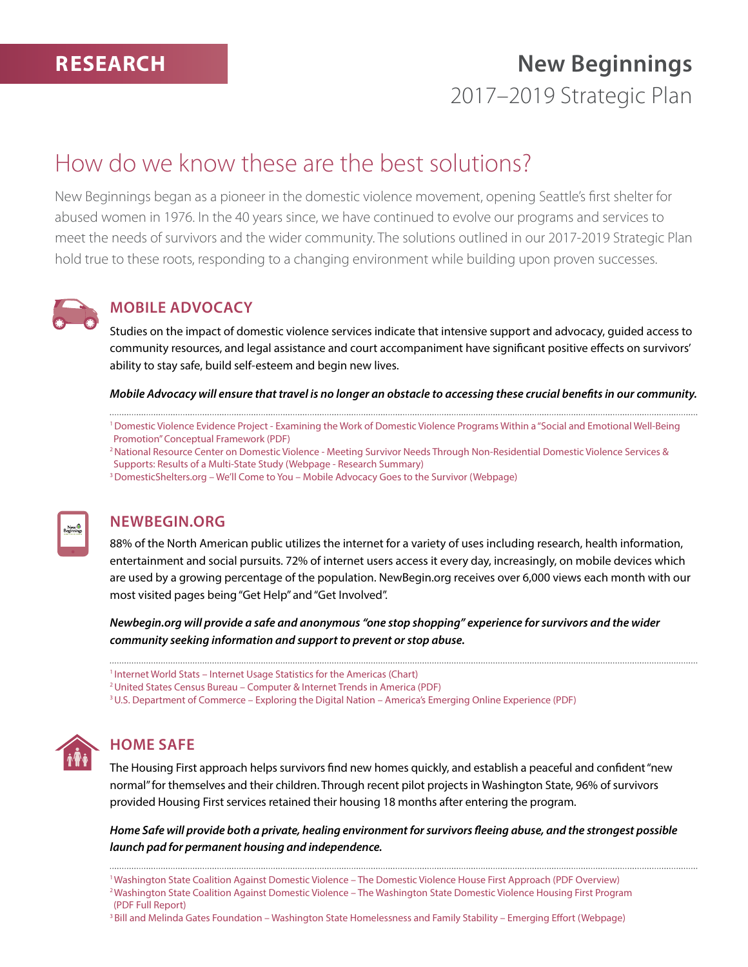# **New Beginnings** 2017–2019 Strategic Plan

## How do we know these are the best solutions?

New Beginnings began as a pioneer in the domestic violence movement, opening Seattle's first shelter for abused women in 1976. In the 40 years since, we have continued to evolve our programs and services to meet the needs of survivors and the wider community. The solutions outlined in our 2017-2019 Strategic Plan hold true to these roots, responding to a changing environment while building upon proven successes.



#### **Mobile Advocacy**

Studies on the impact of domestic violence services indicate that intensive support and advocacy, guided access to community resources, and legal assistance and court accompaniment have significant positive effects on survivors' ability to stay safe, build self-esteem and begin new lives.

*Mobile Advocacy will ensure that travel is no longer an obstacle to accessing these crucial benefits in our community.* 

[1 Domestic Violence Evidence Project - Examining the Work of Domestic Violence Programs Within a "Social and Emotional Well-Being](http://www.dvevidenceproject.org/wp-content/uploads/DVEvidence-Services-ConceptualFramework-2016.pdf)  Promotion" Conceptual Framework (PDF)

[2 National Resource Center on Domestic Violence - Meeting Survivor Needs Through Non-Residential Domestic Violence Services &](http://www.acf.hhs.gov/fysb/resource/nrcdv-residential-services-and-supports)  Supports: Results of a Multi-State Study (Webpage - Research Summary)

[3 DomesticShelters.org – We'll Come to You – Mobile Advocacy Goes to the Survivor \(Webpage\)](https://www.domesticshelters.org/domestic-violence-articles-information/we-ll-come-to-you#.WCIcNeMrK9K)



#### **Newbegin.org**

88% of the North American public utilizes the internet for a variety of uses including research, health information, entertainment and social pursuits. 72% of internet users access it every day, increasingly, on mobile devices which are used by a growing percentage of the population. NewBegin.org receives over 6,000 views each month with our most visited pages being "Get Help" and "Get Involved".

*Newbegin.org will provide a safe and anonymous "one stop shopping" experience for survivors and the wider community seeking information and support to prevent or stop abuse.* 

```
<sup>1</sup> Internet World Stats – Internet Usage Statistics for the Americas (Chart)
```

```
2 United States Census Bureau – Computer & Internet Trends in America (PDF)
```

```
3 U.S. Department of Commerce – Exploring the Digital Nation – America's Emerging Online Experience (PDF)
```


#### **Home Safe**

The Housing First approach helps survivors find new homes quickly, and establish a peaceful and confident "new normal" for themselves and their children. Through recent pilot projects in Washington State, 96% of survivors provided Housing First services retained their housing 18 months after entering the program.

*Home Safe will provide both a private, healing environment for survivors fleeing abuse, and the strongest possible launch pad for permanent housing and independence.* 

[1 Washington State Coalition Against Domestic Violence – The Domestic Violence House First Approach \(PDF Overview\)](http://wscadv.org/wp-content/uploads/2016/04/The-DVHF-Approach-definitions-two-pager.pdf) [2 Washington State Coalition Against Domestic Violence – The Washington State Domestic Violence Housing First Program](http://wscadv.org/wp-content/uploads/2015/05/DVHF_FinalEvaluation.pdf)  (PDF Full Report)

[3 Bill and Melinda Gates Foundation – Washington State Homelessness and Family Stability – Emerging Effort \(Webpage\)](http://www.gatesfoundation.org/What-We-Do/US-Program/Washington-State/Homelessness-and-Family-Stability#bodyregion_0_interiorarticle_0_strategysections_3_strategysubsections5aa048e907af4d3a875375a223dbec2c_0_lnkHeader)